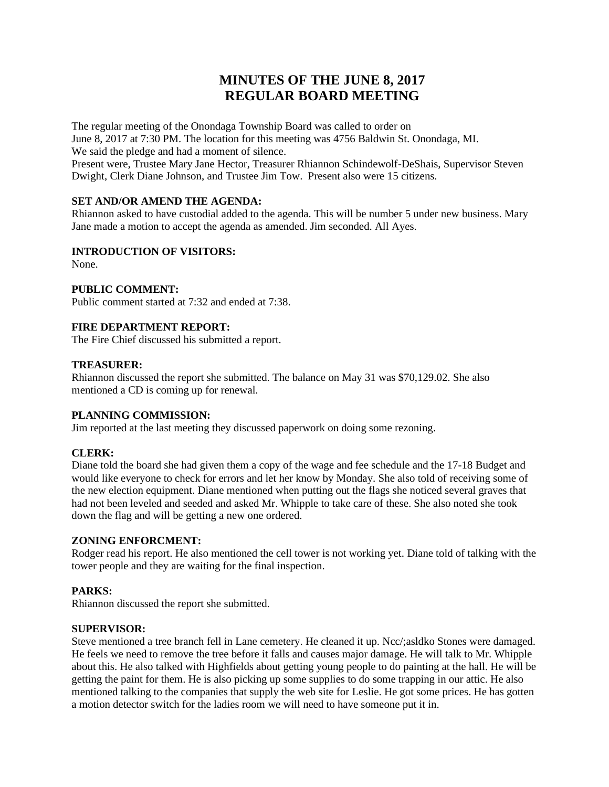# **MINUTES OF THE JUNE 8, 2017 REGULAR BOARD MEETING**

The regular meeting of the Onondaga Township Board was called to order on

June 8, 2017 at 7:30 PM. The location for this meeting was 4756 Baldwin St. Onondaga, MI. We said the pledge and had a moment of silence.

Present were, Trustee Mary Jane Hector, Treasurer Rhiannon Schindewolf-DeShais, Supervisor Steven Dwight, Clerk Diane Johnson, and Trustee Jim Tow. Present also were 15 citizens.

# **SET AND/OR AMEND THE AGENDA:**

Rhiannon asked to have custodial added to the agenda. This will be number 5 under new business. Mary Jane made a motion to accept the agenda as amended. Jim seconded. All Ayes.

## **INTRODUCTION OF VISITORS:**

None.

## **PUBLIC COMMENT:**

Public comment started at 7:32 and ended at 7:38.

## **FIRE DEPARTMENT REPORT:**

The Fire Chief discussed his submitted a report.

#### **TREASURER:**

Rhiannon discussed the report she submitted. The balance on May 31 was \$70,129.02. She also mentioned a CD is coming up for renewal.

# **PLANNING COMMISSION:**

Jim reported at the last meeting they discussed paperwork on doing some rezoning.

# **CLERK:**

Diane told the board she had given them a copy of the wage and fee schedule and the 17-18 Budget and would like everyone to check for errors and let her know by Monday. She also told of receiving some of the new election equipment. Diane mentioned when putting out the flags she noticed several graves that had not been leveled and seeded and asked Mr. Whipple to take care of these. She also noted she took down the flag and will be getting a new one ordered.

### **ZONING ENFORCMENT:**

Rodger read his report. He also mentioned the cell tower is not working yet. Diane told of talking with the tower people and they are waiting for the final inspection.

# **PARKS:**

Rhiannon discussed the report she submitted.

#### **SUPERVISOR:**

Steve mentioned a tree branch fell in Lane cemetery. He cleaned it up. Ncc/;asldko Stones were damaged. He feels we need to remove the tree before it falls and causes major damage. He will talk to Mr. Whipple about this. He also talked with Highfields about getting young people to do painting at the hall. He will be getting the paint for them. He is also picking up some supplies to do some trapping in our attic. He also mentioned talking to the companies that supply the web site for Leslie. He got some prices. He has gotten a motion detector switch for the ladies room we will need to have someone put it in.